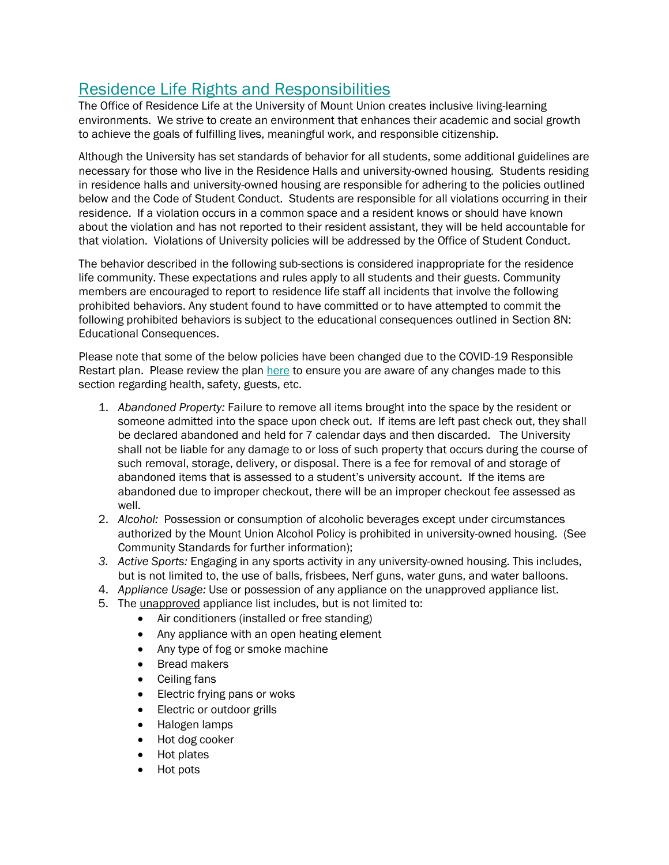## Residence Life Rights and Responsibilities

The Office of Residence Life at the University of Mount Union creates inclusive living-learning environments. We strive to create an environment that enhances their academic and social growth to achieve the goals of fulfilling lives, meaningful work, and responsible citizenship.

Although the University has set standards of behavior for all students, some additional guidelines are necessary for those who live in the Residence Halls and university-owned housing. Students residing in residence halls and university-owned housing are responsible for adhering to the policies outlined below and the Code of Student Conduct. Students are responsible for all violations occurring in their residence. If a violation occurs in a common space and a resident knows or should have known about the violation and has not reported to their resident assistant, they will be held accountable for that violation. Violations of University policies will be addressed by the Office of Student Conduct.

The behavior described in the following sub-sections is considered inappropriate for the residence life community. These expectations and rules apply to all students and their guests. Community members are encouraged to report to residence life staff all incidents that involve the following prohibited behaviors. Any student found to have committed or to have attempted to commit the following prohibited behaviors is subject to the educational consequences outlined in Section 8N: Educational Consequences.

Please note that some of the below policies have been changed due to the COVID-19 Responsible Restart plan. Please review the plan [here](https://www.mountunion.edu/covid-19) to ensure you are aware of any changes made to this section regarding health, safety, guests, etc.

- 1. *Abandoned Property:* Failure to remove all items brought into the space by the resident or someone admitted into the space upon check out. If items are left past check out, they shall be declared abandoned and held for 7 calendar days and then discarded. The University shall not be liable for any damage to or loss of such property that occurs during the course of such removal, storage, delivery, or disposal. There is a fee for removal of and storage of abandoned items that is assessed to a student's university account. If the items are abandoned due to improper checkout, there will be an improper checkout fee assessed as well.
- 2. *Alcohol:* Possession or consumption of alcoholic beverages except under circumstances authorized by the Mount Union Alcohol Policy is prohibited in university-owned housing. (See Community Standards for further information);
- *3. Active Sports:* Engaging in any sports activity in any university-owned housing. This includes, but is not limited to, the use of balls, frisbees, Nerf guns, water guns, and water balloons.
- 4. *Appliance Usage:* Use or possession of any appliance on the unapproved appliance list.
- 5. The unapproved appliance list includes, but is not limited to:
	- Air conditioners (installed or free standing)
	- Any appliance with an open heating element
	- Any type of fog or smoke machine
	- Bread makers
	- Ceiling fans
	- Electric frying pans or woks
	- Electric or outdoor grills
	- Halogen lamps
	- Hot dog cooker
	- Hot plates
	- Hot pots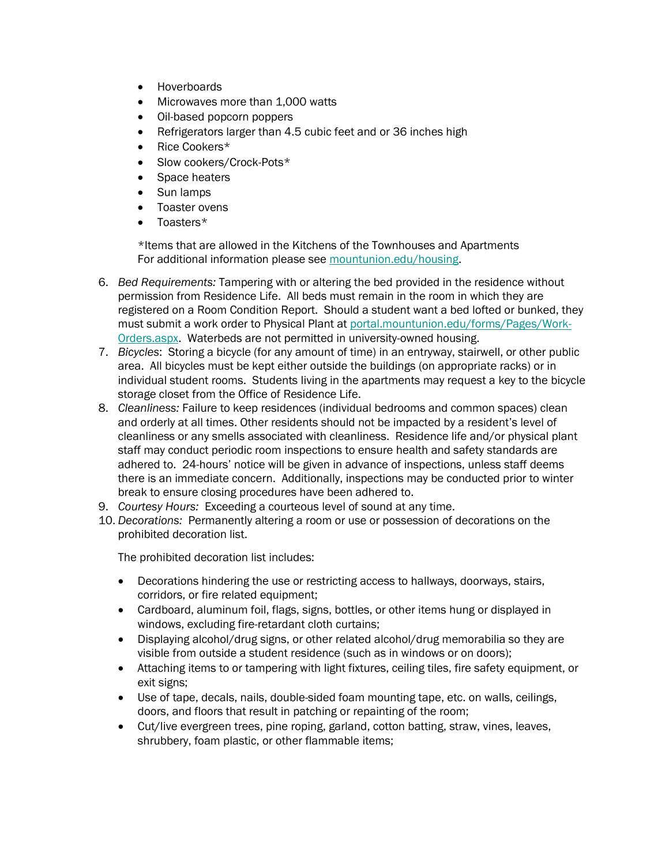- Hoverboards
- Microwaves more than 1,000 watts
- Oil-based popcorn poppers
- Refrigerators larger than 4.5 cubic feet and or 36 inches high
- Rice Cookers\*
- Slow cookers/Crock-Pots\*
- Space heaters
- Sun lamps
- Toaster ovens
- Toasters\*

\*Items that are allowed in the Kitchens of the Townhouses and Apartments For additional information please see [mountunion.edu/housing.](https://www.mountunion.edu/housing)

- 6. *Bed Requirements:* Tampering with or altering the bed provided in the residence without permission from Residence Life. All beds must remain in the room in which they are registered on a Room Condition Report. Should a student want a bed lofted or bunked, they must submit a work order to Physical Plant at [portal.mountunion.edu/forms/Pages/Work-](https://portal.mountunion.edu/forms/Pages/Work-Orders.aspx)[Orders.aspx.](https://portal.mountunion.edu/forms/Pages/Work-Orders.aspx) Waterbeds are not permitted in university-owned housing.
- 7. *Bicycles*: Storing a bicycle (for any amount of time) in an entryway, stairwell, or other public area. All bicycles must be kept either outside the buildings (on appropriate racks) or in individual student rooms. Students living in the apartments may request a key to the bicycle storage closet from the Office of Residence Life.
- 8. *Cleanliness:* Failure to keep residences (individual bedrooms and common spaces) clean and orderly at all times. Other residents should not be impacted by a resident's level of cleanliness or any smells associated with cleanliness. Residence life and/or physical plant staff may conduct periodic room inspections to ensure health and safety standards are adhered to. 24-hours' notice will be given in advance of inspections, unless staff deems there is an immediate concern. Additionally, inspections may be conducted prior to winter break to ensure closing procedures have been adhered to.
- 9. *Courtesy Hours:* Exceeding a courteous level of sound at any time.
- 10. *Decorations:* Permanently altering a room or use or possession of decorations on the prohibited decoration list.

The prohibited decoration list includes:

- Decorations hindering the use or restricting access to hallways, doorways, stairs, corridors, or fire related equipment;
- Cardboard, aluminum foil, flags, signs, bottles, or other items hung or displayed in windows, excluding fire-retardant cloth curtains;
- Displaying alcohol/drug signs, or other related alcohol/drug memorabilia so they are visible from outside a student residence (such as in windows or on doors);
- Attaching items to or tampering with light fixtures, ceiling tiles, fire safety equipment, or exit signs;
- Use of tape, decals, nails, double-sided foam mounting tape, etc. on walls, ceilings, doors, and floors that result in patching or repainting of the room;
- Cut/live evergreen trees, pine roping, garland, cotton batting, straw, vines, leaves, shrubbery, foam plastic, or other flammable items;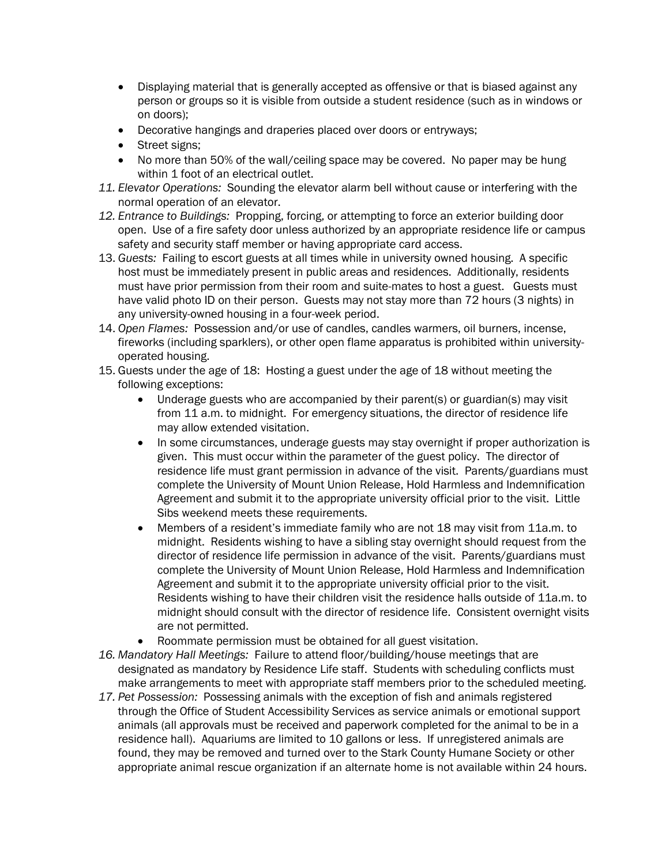- Displaying material that is generally accepted as offensive or that is biased against any person or groups so it is visible from outside a student residence (such as in windows or on doors);
- Decorative hangings and draperies placed over doors or entryways;
- Street signs;
- No more than 50% of the wall/ceiling space may be covered. No paper may be hung within 1 foot of an electrical outlet.
- *11. Elevator Operations:* Sounding the elevator alarm bell without cause or interfering with the normal operation of an elevator.
- *12. Entrance to Buildings:* Propping, forcing, or attempting to force an exterior building door open. Use of a fire safety door unless authorized by an appropriate residence life or campus safety and security staff member or having appropriate card access.
- 13. *Guests:* Failing to escort guests at all times while in university owned housing. A specific host must be immediately present in public areas and residences. Additionally, residents must have prior permission from their room and suite-mates to host a guest. Guests must have valid photo ID on their person. Guests may not stay more than 72 hours (3 nights) in any university-owned housing in a four-week period.
- 14. *Open Flames:* Possession and/or use of candles, candles warmers, oil burners, incense, fireworks (including sparklers), or other open flame apparatus is prohibited within universityoperated housing.
- 15. Guests under the age of 18: Hosting a guest under the age of 18 without meeting the following exceptions:
	- Underage guests who are accompanied by their parent(s) or guardian(s) may visit from 11 a.m. to midnight. For emergency situations, the director of residence life may allow extended visitation.
	- In some circumstances, underage guests may stay overnight if proper authorization is given. This must occur within the parameter of the guest policy. The director of residence life must grant permission in advance of the visit. Parents/guardians must complete the University of Mount Union Release, Hold Harmless and Indemnification Agreement and submit it to the appropriate university official prior to the visit. Little Sibs weekend meets these requirements.
	- Members of a resident's immediate family who are not 18 may visit from 11a.m. to midnight. Residents wishing to have a sibling stay overnight should request from the director of residence life permission in advance of the visit. Parents/guardians must complete the University of Mount Union Release, Hold Harmless and Indemnification Agreement and submit it to the appropriate university official prior to the visit. Residents wishing to have their children visit the residence halls outside of 11a.m. to midnight should consult with the director of residence life. Consistent overnight visits are not permitted.
	- Roommate permission must be obtained for all guest visitation.
- *16. Mandatory Hall Meetings:* Failure to attend floor/building/house meetings that are designated as mandatory by Residence Life staff. Students with scheduling conflicts must make arrangements to meet with appropriate staff members prior to the scheduled meeting.
- *17. Pet Possession:* Possessing animals with the exception of fish and animals registered through the Office of Student Accessibility Services as service animals or emotional support animals (all approvals must be received and paperwork completed for the animal to be in a residence hall). Aquariums are limited to 10 gallons or less. If unregistered animals are found, they may be removed and turned over to the Stark County Humane Society or other appropriate animal rescue organization if an alternate home is not available within 24 hours.